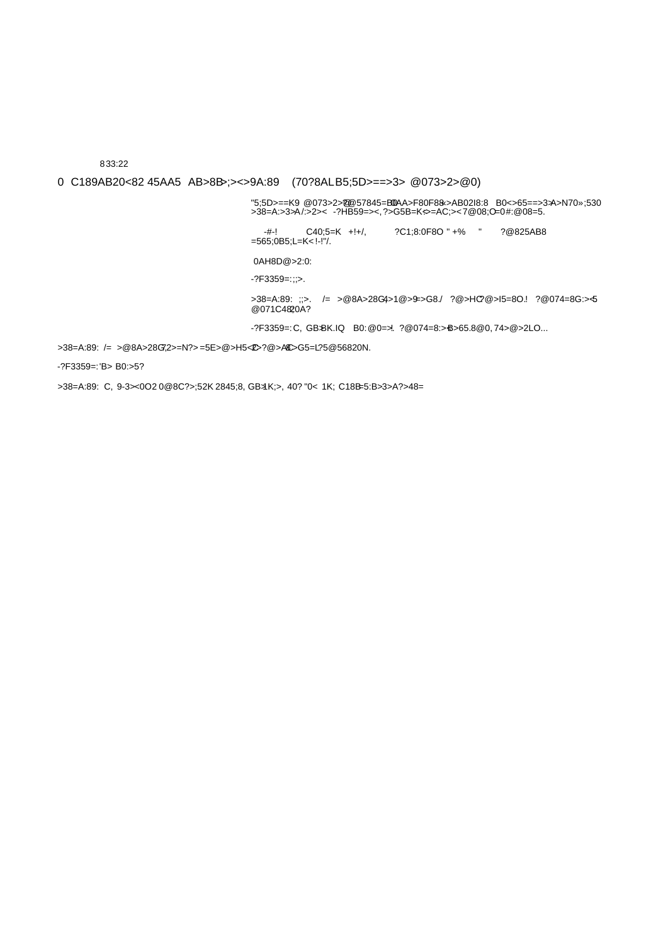8 33:22

# 0 C189AB20<82 45AA5 AB>8B>;><>9A:89 (70?8ALB5;5D>==>3> @073>2>@0)

"5;5D>==K9 @073>2>@ ?@57845=B0 0AA>F80F88 «>AB02I8:8 B0<>65==>3> A>N70» ;530 >38=A:>3>A/:>2>< -?HB59=><,?>G5B=K $\Leftrightarrow$ =AC;>< 7@08;O=0#:@08=5.

 -#-! C40;5=K +!+/, ?C1;8:0F8O " +% " ?@825AB8  $=565,0B5, L=K<sup>1</sup>$ . 0AH8D@>2:0: -?F3359=: ;;>. >38=A:89: ;;>. /= >@8A>28G(>1@>9=>G8/ ?@>HC @>I5=8O.! ?@074=8G:><5 @071C4820A? -?F3359=: C, GB\$K, IQ B0: @0=>. ?@074=8:>B>65, 8@0, 74>@>2LO...

>38=A:89: /= >@8A>28G, 2>=N?>=5E>@>H5<\pl>9>9@>A\\$\$95=L25@56820N.

-?F3359=: 'B> B0:>5?

>38=A:89: C, 9-3><0O2 0@8C?>;52K 2845;8, GB (x;>, 40? "0< 1K; C18B=5:B>3>A?>48=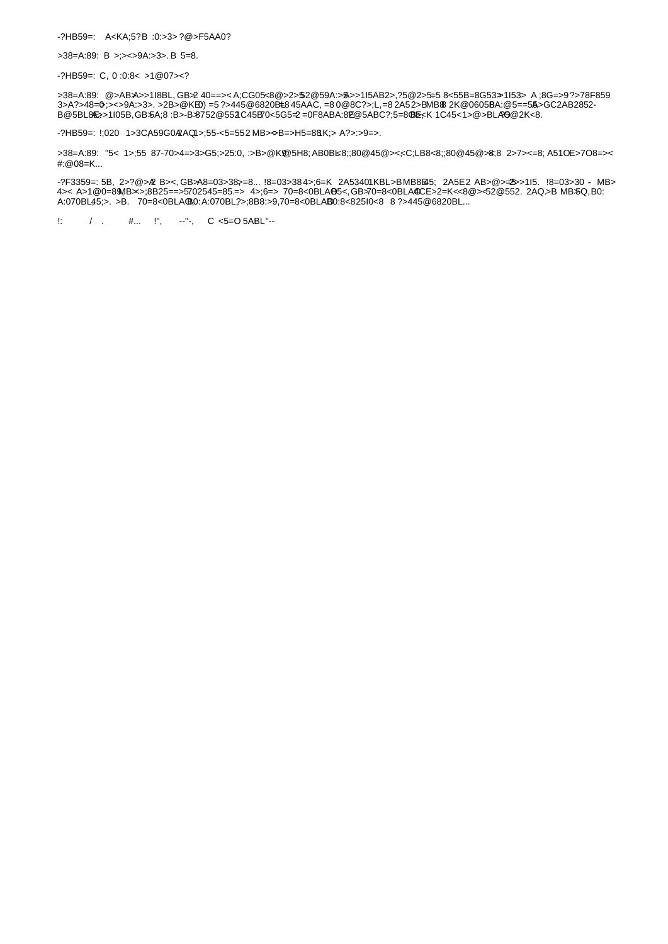-?HB59=: A<KA;5? B :0:>3> ?@>F5AA0?

>38=A:89: B >;><>9A:>3>. B 5=8.

-?HB59=: C, 0 :0:8< >1@07><?

>38=A:89: @>AB> A>>1I8BL, GB> 2 40==>< A;CG05 <8@>2>5 52@59A:>5 A>>1I5AB2>, ?5@2>5: =5 8<55B =8G53> >1I53> A ;8G=>9 ?>78F859 3>A?>48=0 >;><>9A:>3>. >2B>@KE: 0) =5 ?>445@6820BL =8 45AAC, =8 0@8C?>;L, =8 2A5 2>B MB8 8 2K@0605B 8A:@5==55 A>GC2AB285. 2- B@5BL8E: A>>1I05B, GB> 5A;8 :B>-B> 87 52@552 1C45B 70<5G5= 2 =0F8ABA:8E ?@5ABC?;5=8OE, B> <K 1C45< 1>@>BLAO ?5@2K<8.

-?HB59=: !:020 1>3CA59G0/&AQ 1>:55-<5=552 MB> B=>H5=88 K:> A?>:>9=>.

> $>38$ =A:89: "5< 1>;55 87-70>4=>3>G5;>25:0, :>B>@K@5H8;AB0BL8;;80@45@><<C;LB8<8;;80@45@>&;8 2>7><=8; A51OE>7O8=>< #:@08=K...

-?F3359=: 5B, 2>?@>A 2 B><, GB> A8=03>38, >=8... !8=03>38 4>;6=K 2A5340 1KBL >B MB8E 45; 2A5E 2 AB>@>=5 2>>1I5. !8=03>30 **-** MB> 4>< A>1@0=89, MB> <>;8B25==>5 702545=85. => 4>;6=> 70=8<0BLAO B5<, GB> 70=8<0BLAO 4CE>2=K< <8@>< 52@552. 2AQ. >B MB> 5Q, B0: A:070BL45;>. >B. 70=8<0BLAQ0:A:070BL?>;8B8:>9,70=8<0BLAQ0:8<825I0<8 8 ?>445@6820BL...

! : / . #... !", --"-, C <5=O 5ABL"- -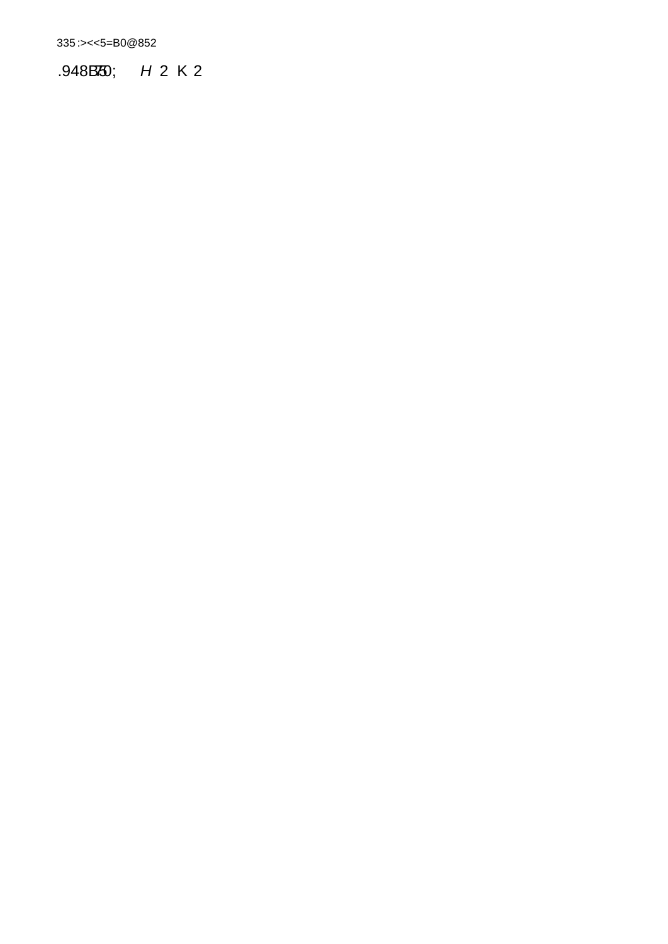$335 := < 5 = 80@852$ 

 $.948B30;$   $H 2 K 2$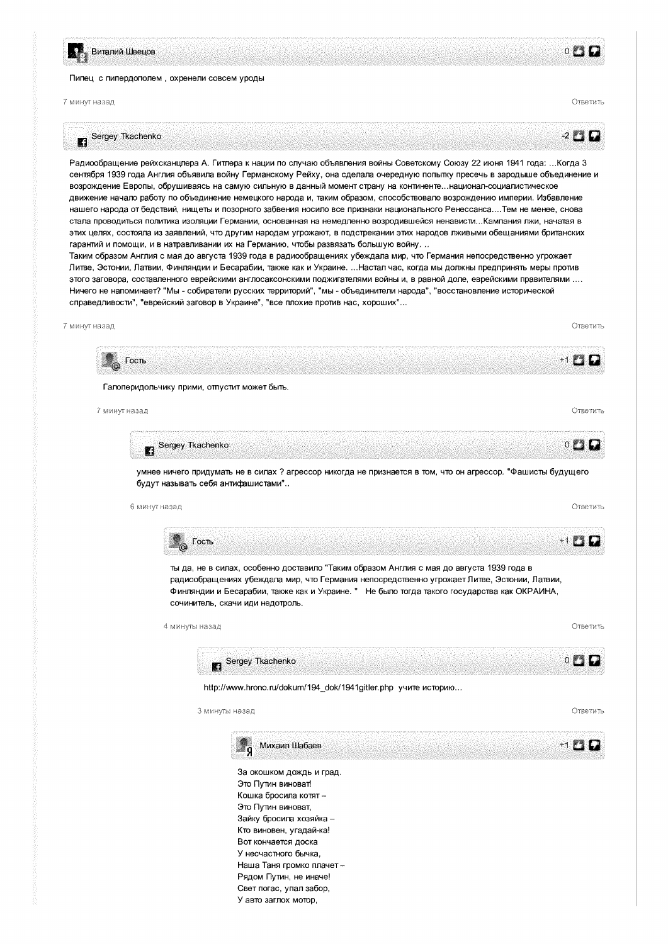

# Пипец с пипердополем, охренели совсем уроды

7 минут назад

Ответить

 $0$   $\Omega$ 

| $-2$ $\blacksquare$<br>Sergey Tkachenko                                                                                                                                                                                                                                                                                                                                                                                                                                                                                                                                                                                                                                                                                                                                                                                                                                                                                                                                                                                                                                                                                                                                                                                                                                                                                                                                                                                                                                                                                                                           |  |
|-------------------------------------------------------------------------------------------------------------------------------------------------------------------------------------------------------------------------------------------------------------------------------------------------------------------------------------------------------------------------------------------------------------------------------------------------------------------------------------------------------------------------------------------------------------------------------------------------------------------------------------------------------------------------------------------------------------------------------------------------------------------------------------------------------------------------------------------------------------------------------------------------------------------------------------------------------------------------------------------------------------------------------------------------------------------------------------------------------------------------------------------------------------------------------------------------------------------------------------------------------------------------------------------------------------------------------------------------------------------------------------------------------------------------------------------------------------------------------------------------------------------------------------------------------------------|--|
| Радиообращение рейхсканцлера А. Гитлера к нации по случаю объявления войны Советскому Союзу 22 июня 1941 года: Когда 3<br>сентября 1939 года Англия объявила войну Германскому Рейху, она сделала очередную попытку пресечь в зародыше объединение и<br>возрождение Европы, обрушиваясь на самую сильную в данный момент страну на континентенационал-социалистическое<br>движение начало работу по объединение немецкого народа и, таким образом, способствовало возрождению империи. Избавление<br>нашего народа от бедствий, нищеты и позорного забвения носило все признаки национального РенессансаТем не менее, снова<br>стала проводиться политика изоляции Германии, основанная на немедленно возродившейся ненавистиКампания лжи, начатая в<br>этих целях, состояла из заявлений, что другим народам угрожают, в подстрекании этих народов лживыми обещаниями британских<br>гарантий и помощи, и в натравливании их на Германию, чтобы развязать большую войну<br>Таким образом Англия с мая до августа 1939 года в радиообращениях убеждала мир, что Германия непосредственно угрожает<br>Литве, Эстонии, Латвии, Финляндии и Бесарабии, также как и Украине. Настал час, когда мы должны предпринять меры против<br>этого заговора, составленного еврейскими англосаксонскими поджигателями войны и, в равной доле, еврейскими правителями<br>Ничего не напоминает? "Мы - собиратели русских территорий", "мы - объединители народа", "восстановление исторической<br>справедливости", "еврейский заговор в Украине", "все плохие против нас, хороших" |  |

# 7 минут назад

Ответить

| Гость         |                                                                                                                                                                                                                                | $+1$ $1$                      |
|---------------|--------------------------------------------------------------------------------------------------------------------------------------------------------------------------------------------------------------------------------|-------------------------------|
|               | Галоперидольчику прими, отпустит может быть.                                                                                                                                                                                   |                               |
| 7 минут назад |                                                                                                                                                                                                                                | Ответить                      |
|               | Sergey Tkachenko                                                                                                                                                                                                               | $\circ$ 0 $\Omega$            |
|               | умнее ничего придумать не в силах ? агрессор никогда не признается в том, что он агрессор. "Фашисты будущего<br>будут называть себя антифашистами"                                                                             |                               |
|               | 6 минут назад                                                                                                                                                                                                                  | Ответить                      |
|               | Гость                                                                                                                                                                                                                          | +1 <b>L3 [2</b>               |
|               | ты да, не в силах, особенно доставило "Таким образом Англия с мая до августа 1939 года в                                                                                                                                       |                               |
|               | радиообращениях убеждала мир, что Германия непосредственно угрожает Литве, Эстонии, Латвии,<br>Финляндии и Бесарабии, также как и Украине. " Не было тогда такого государства как ОКРАИНА,<br>сочинитель, скачи иди недотроль. |                               |
|               | 4 минуты назад                                                                                                                                                                                                                 |                               |
|               | Sergey Tkachenko                                                                                                                                                                                                               | $0$ $\mathbf{C}$ $\mathbf{D}$ |
|               | http://www.hrono.ru/dokum/194_dok/1941gitler.php учите историю                                                                                                                                                                 |                               |
|               | 3 минуты назад                                                                                                                                                                                                                 |                               |
|               | Михаил Шабаев                                                                                                                                                                                                                  | Ответить<br>Ответить<br>$+12$ |

Свет погас, упал забор, У авто заглох мотор,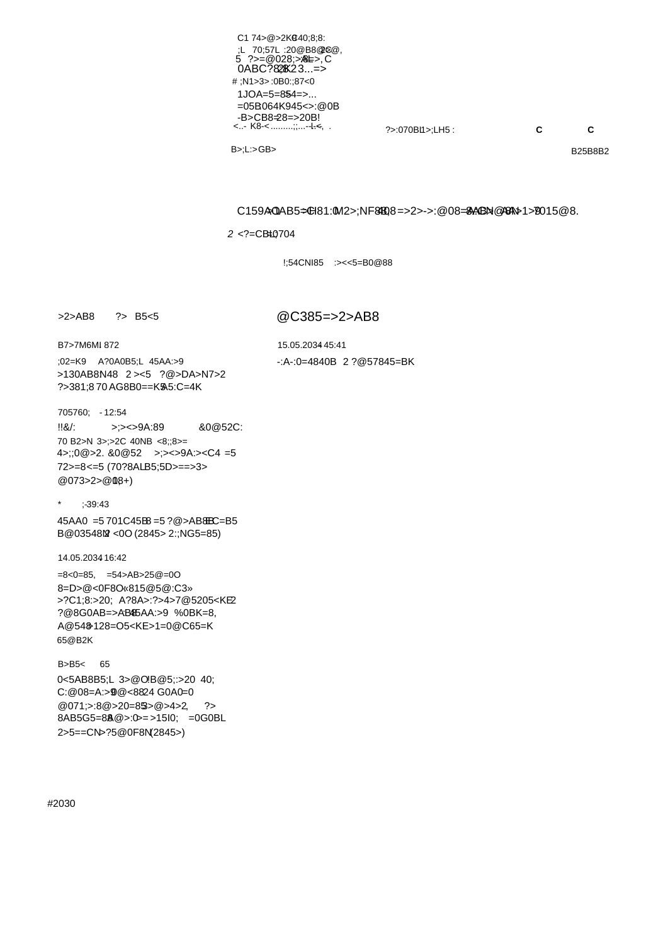| C174 > @>2KQ40.8.8.<br>70,57L :20@B8@\$@,<br>$5$ ?>=@028;>8=>, C |                |   |  |
|------------------------------------------------------------------|----------------|---|--|
| $0ABC$ ?828 $Z3 =$                                               |                |   |  |
| #:N1>3>:0B0:;87<0                                                |                |   |  |
| $1JOA = 5 = 854 = 5$                                             |                |   |  |
| $= 05B064K945 \leq \ldots \leq 00B$                              |                |   |  |
| $-B$ $>$ CB8 $\approx$ 28= $>$ 20B!                              |                |   |  |
| < K8- <  ;;  .--.l-<. .                                          | ?>:070BU>:LH5: | С |  |
|                                                                  |                |   |  |

B>;L:> GB>

B25B8B2

## $C159A0AB5\rightleftharpoons @B1:0 M2$ ;NF84008=>2>->:@08=8A4BN@49Ab41>79015@8.

2 <?=CBL0704

!;54CNI85 :><<5=B0@88

>2>AB8 ?> B5<5

# @C385 =>2>AB8

-:A-:0=4840B 2 ?@57845=BK

15.05.2034 **-** 45:41

B7>7M6MI **.** 872

;02=K9 A?0A0B5;L 45AA:>9 >130AB8: N48 2 ><5 ?@>DA>N7>2 ?>381;8 70 AG8B0==K\$5:C=4K

# 705760; - 12:54

!!&/: >;><>9A:89 &0@52C: 70 B2>N 3>;>2C 40NB <8;;8>= 4>;;0@>2. &0@52 >;><>9A:><C4 =5 72>=8<=5 (70?8ALB5;5D>==>3>  $@073>2>@08+$ 

## $*$  ;-39:43

 $45AAD = 5701C45B = 5?@ > ABBC = B5$ B@03548N 2 <0O (2845> 2:;NG5=85)

14.05.2034 **.** 16:42

 $=8$  <0=85,  $=54$ >AB>25@=00 8=D>@<0F8O\* 815@5@:C3» >?C1;8:>20; A?8A>:?>4>7@5205<KE2 ?@8G0AB=>AB85AA:>9 %0BK=8, A@548 >128=O5<KE >1=0@C65=K 65@B2K

B>B5< 65 0<5AB8B5;L 3>@O!B@5;:>20 40; C:@08=A:>9@<8824 G0A0=0  $@071;>:8@>20=85>@>4>2$  , ?>  $8AB5G5=8A@>:0=>1510; =0G0BL$ 2>5==CN>?5@0F8N(2845>)

#2030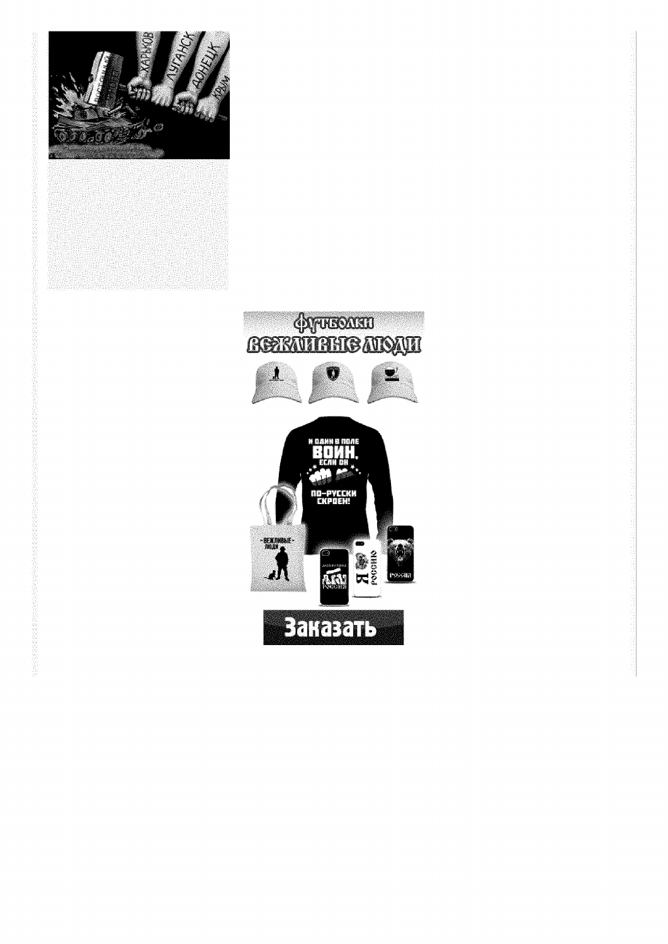